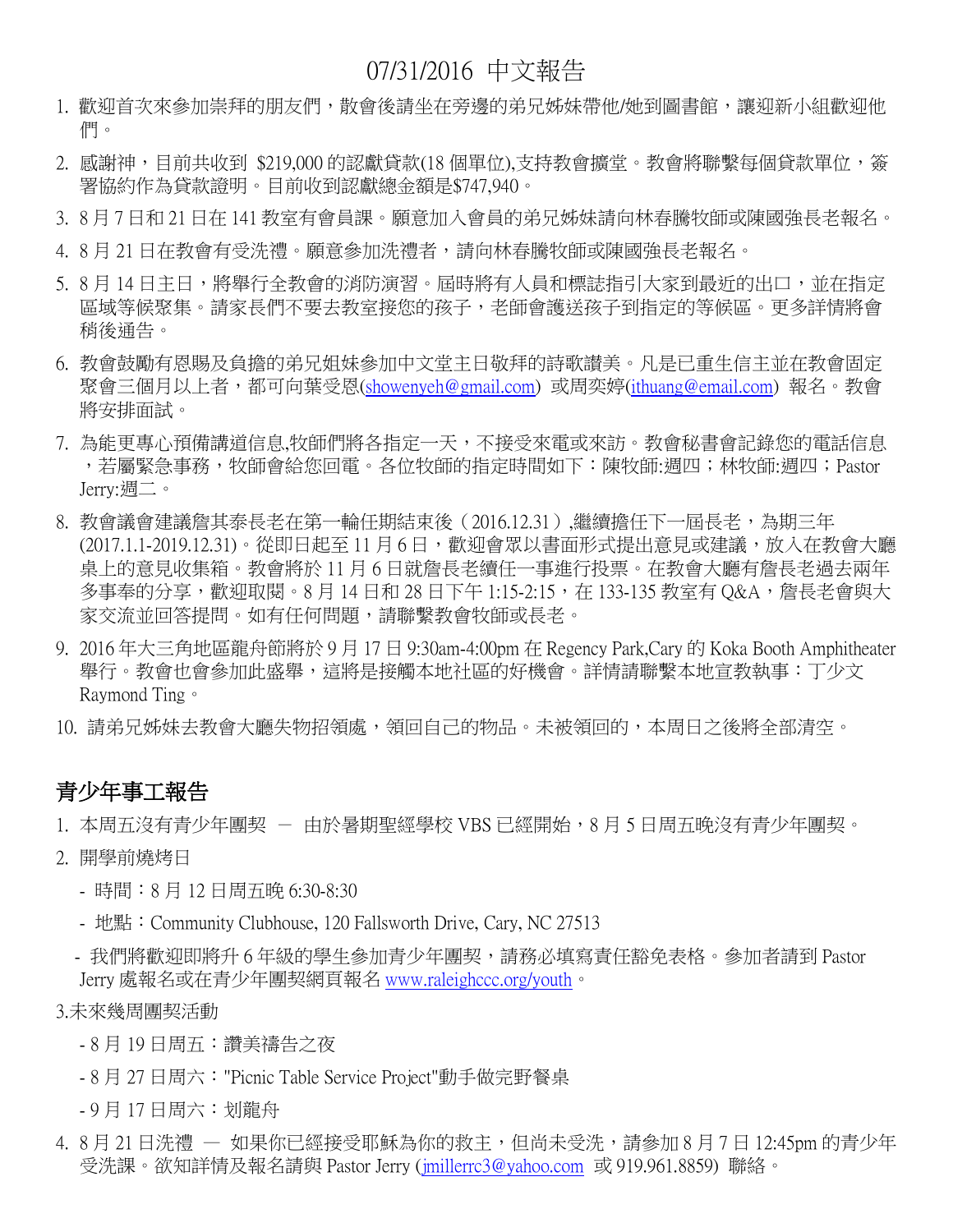## 07/31/2016 中文報告

- 1. 歡迎首次來參加崇拜的朋友們,散會後請坐在旁邊的弟兄姊妹帶他/她到圖書館,讓迎新小組歡迎他 們。
- 2. 感謝神,目前共收到 \$219,000 的認獻貸款(18 個單位),支持教會擴堂。教會將聯繫每個貸款單位,簽 署協約作為貸款證明。目前收到認獻總金額是\$747,940。
- 3. 8 月 7 日和 21 日在 141 教室有會員課。願意加入會員的弟兄姊妹請向林春騰牧師或陳國強長老報名。
- 4. 8 月 21 日在教會有受洗禮。願意參加洗禮者,請向林春騰牧師或陳國強長老報名。
- 5. 8 月 14 日主日,將舉行全教會的消防演習。屆時將有人員和標誌指引大家到最近的出口,並在指定 區域等候聚集。請家長們不要去教室接您的孩子,老師會護送孩子到指定的等候區。更多詳情將會 稍後通告。
- 6. 教會鼓勵有恩賜及負擔的弟兄姐妹參加中文堂主日敬拜的詩歌讃美。凡是已重生信主並在教會固定 聚會三個月以上者,都可向葉受恩[\(showenyeh@gmail.com\)](mailto:showenyeh@gmail.com) 或周奕婷[\(ithuang@email.com\)](mailto:ithuang@email.com) 報名。教會 將安排面試。
- 7. 為能更專心預備講道信息,牧師們將各指定一天,不接受來電或來訪。教會秘書會記錄您的電話信息 ,若屬緊急事務,牧師會給您回電。各位牧師的指定時間如下:陳牧師:週四;林牧師:週四;Pastor Jerry:週二。
- 8. 教會議會建議詹其泰長老在第一輪任期結束後(2016.12.31),繼續擔任下一屆長老,為期三年 (2017.1.1-2019.12.31)。從即日起至11月6日,歡迎會眾以書面形式提出意見或建議,放入在教會大廳 桌上的意見收集箱。教會將於 11 月 6 日就詹長老續任一事進行投票。在教會大廳有詹長老過去兩年 多事奉的分享,歡迎取閱。8月 14 日和 28 日下午 1:15-2:15,在 133-135 教室有 Q&A,詹長老會與大 家交流並回答提問。如有任何問題,請聯繫教會牧師或長老。
- 9. 2016 年大三角地區龍舟節將於 9 月 17 日 9:30am-4:00pm 在 Regency Park,Cary 的 Koka Booth Amphitheater 舉行。教會也會參加此盛舉,這將是接觸本地社區的好機會。詳情請聯繫本地宣教執事:丁少文 Raymond Ting。
- 10. 請弟兄姊妹去教會大廳失物招領處,領回自己的物品。未被領回的,本周日之後將全部清空。

### 青少年事工報告

- 1. 本周五沒有青少年團契 由於暑期聖經學校 VBS 已經開始,8 月 5 日周五晚沒有青少年團契。
- 2. 開學前燒烤日
	- 時間:8 月 12 日周五晚 6:30-8:30
	- 地點:Community Clubhouse, 120 Fallsworth Drive, Cary, NC 27513
	- 我們將歡迎即將升6年級的學生參加青少年團契,請務必填寫責任豁免表格。參加者請到 Pastor Jerry 處報名或在青少年團契網頁報名 [www.raleighccc.org/youth](http://www.raleighccc.org/youth)。

3.未來幾周團契活動

- 8 月 19 日周五:讚美禱告之夜
- 8 月 27 日周六:"Picnic Table Service Project"動手做完野餐桌
- 9 月 17 日周六:划龍舟
- 4. 8 月 21 日洗禮 ― 如果你已經接受耶穌為你的救主,但尚未受洗,請參加 8 月 7 日 12:45pm 的青少年 受洗課。欲知詳情及報名請與 Pastor Jerry [\(jmillerrc3@yahoo.com](mailto:jmillerrc3@yahoo.com) 或 919.961.8859) 聯絡。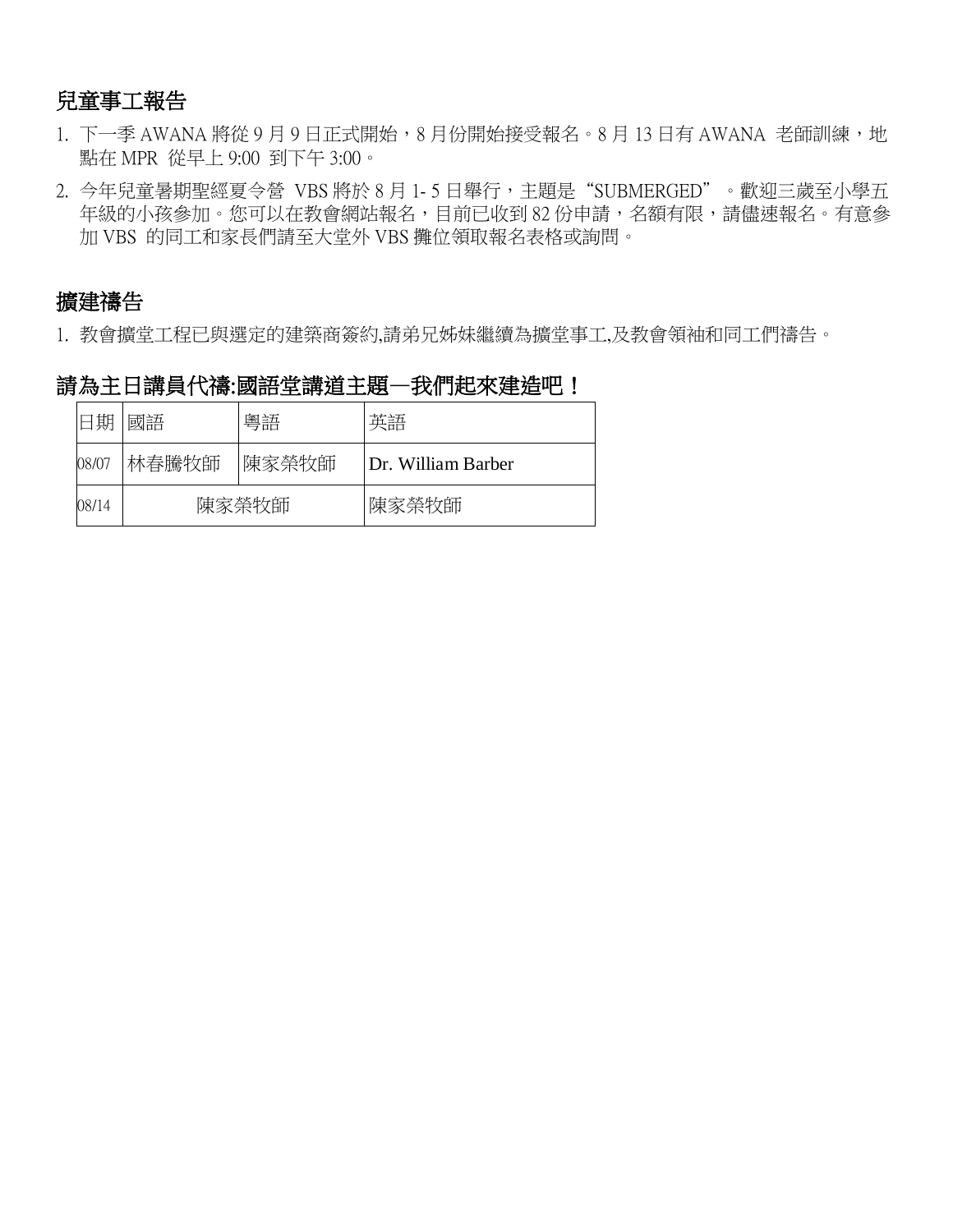### 兒童事工報告

- 1. 下一季 AWANA 將從 9 月 9 日正式開始, 8 月份開始接受報名。8 月 13 日有 AWANA 老師訓練, 地 點在 MPR 從早上 9:00 到下午 3:00。
- 2. 今年兒童暑期聖經夏令營 VBS 將於 8 月 1- 5 日舉行,主題是"SUBMERGED"。歡迎三歲至小學五 年級的小孩參加。您可以在教會網站報名,目前已收到82份申請,名額有限,請儘速報名。有意參 加 VBS 的同工和家長們請至大堂外 VBS 攤位領取報名表格或詢問。

### 擴建禱告

1. 教會擴堂工程已與選定的建築商簽約,請弟兄姊妹繼續為擴堂事工,及教會領袖和同工們禱告。

### 請為主日講員代禱:國語堂講道主題一我們起來建造吧!

| 日期    | 國語    | 粵語     | 英語                 |
|-------|-------|--------|--------------------|
| 08/07 | 林春騰牧師 | '陳家榮牧師 | Dr. William Barber |
| 08/14 | 陳家榮牧師 |        | 陳家榮牧師              |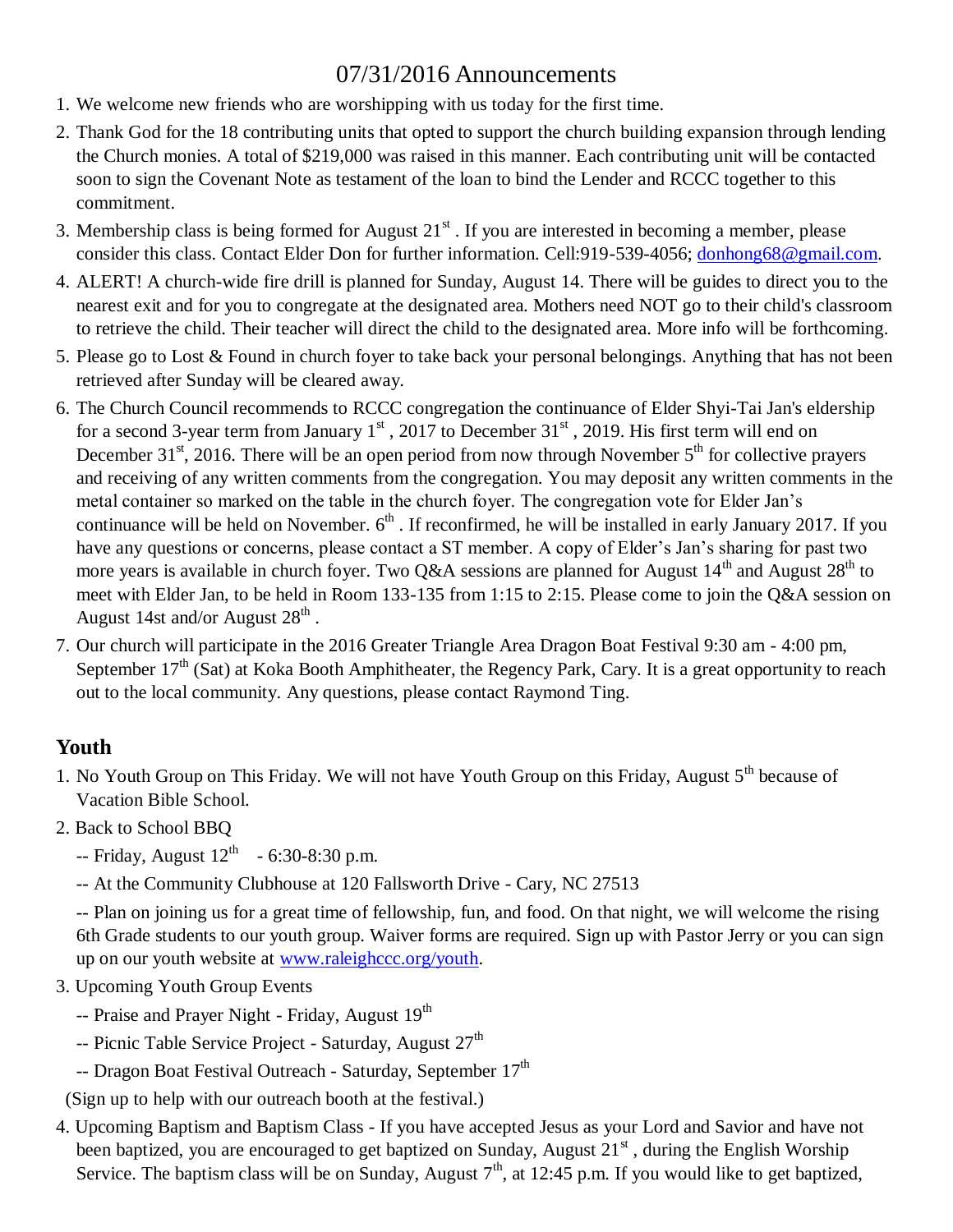# 07/31/2016 Announcements

- 1. We welcome new friends who are worshipping with us today for the first time.
- 2. Thank God for the 18 contributing units that opted to support the church building expansion through lending the Church monies. A total of \$219,000 was raised in this manner. Each contributing unit will be contacted soon to sign the Covenant Note as testament of the loan to bind the Lender and RCCC together to this commitment.
- 3. Membership class is being formed for August  $21<sup>st</sup>$ . If you are interested in becoming a member, please consider this class. Contact Elder Don for further information. Cell:919-539-4056; [donhong68@gmail.com.](mailto:donhong68@gmail.com)
- 4. ALERT! A church-wide fire drill is planned for Sunday, August 14. There will be guides to direct you to the nearest exit and for you to congregate at the designated area. Mothers need NOT go to their child's classroom to retrieve the child. Their teacher will direct the child to the designated area. More info will be forthcoming.
- 5. Please go to Lost & Found in church foyer to take back your personal belongings. Anything that has not been retrieved after Sunday will be cleared away.
- 6. The Church Council recommends to RCCC congregation the continuance of Elder Shyi-Tai Jan's eldership for a second 3-year term from January  $1<sup>st</sup>$ , 2017 to December 31 $<sup>st</sup>$ , 2019. His first term will end on</sup> December 31<sup>st</sup>, 2016. There will be an open period from now through November  $5<sup>th</sup>$  for collective prayers and receiving of any written comments from the congregation. You may deposit any written comments in the metal container so marked on the table in the church foyer. The congregation vote for Elder Jan's continuance will be held on November.  $6<sup>th</sup>$ . If reconfirmed, he will be installed in early January 2017. If you have any questions or concerns, please contact a ST member. A copy of Elder's Jan's sharing for past two more years is available in church foyer. Two Q&A sessions are planned for August  $14<sup>th</sup>$  and August  $28<sup>th</sup>$  to meet with Elder Jan, to be held in Room 133-135 from 1:15 to 2:15. Please come to join the Q&A session on August 14st and/or August  $28^{\text{th}}$  .
- 7. Our church will participate in the 2016 Greater Triangle Area Dragon Boat Festival 9:30 am 4:00 pm, September  $17<sup>th</sup>$  (Sat) at Koka Booth Amphitheater, the Regency Park, Cary. It is a great opportunity to reach out to the local community. Any questions, please contact Raymond Ting.

## **Youth**

- 1. No Youth Group on This Friday. We will not have Youth Group on this Friday, August 5<sup>th</sup> because of Vacation Bible School.
- 2. Back to School BBQ
	- $-$  Friday, August  $12^{th}$  6:30-8:30 p.m.
	- -- At the Community Clubhouse at 120 Fallsworth Drive Cary, NC 27513

-- Plan on joining us for a great time of fellowship, fun, and food. On that night, we will welcome the rising 6th Grade students to our youth group. Waiver forms are required. Sign up with Pastor Jerry or you can sign up on our youth website at [www.raleighccc.org/youth.](http://www.raleighccc.org/youth)

- 3. Upcoming Youth Group Events
	- -- Praise and Prayer Night Friday, August 19<sup>th</sup>
	- -- Picnic Table Service Project Saturday, August 27<sup>th</sup>
	- -- Dragon Boat Festival Outreach Saturday, September 17<sup>th</sup>

(Sign up to help with our outreach booth at the festival.)

4. Upcoming Baptism and Baptism Class - If you have accepted Jesus as your Lord and Savior and have not been baptized, you are encouraged to get baptized on Sunday, August  $21<sup>st</sup>$ , during the English Worship Service. The baptism class will be on Sunday, August  $7<sup>th</sup>$ , at 12:45 p.m. If you would like to get baptized,